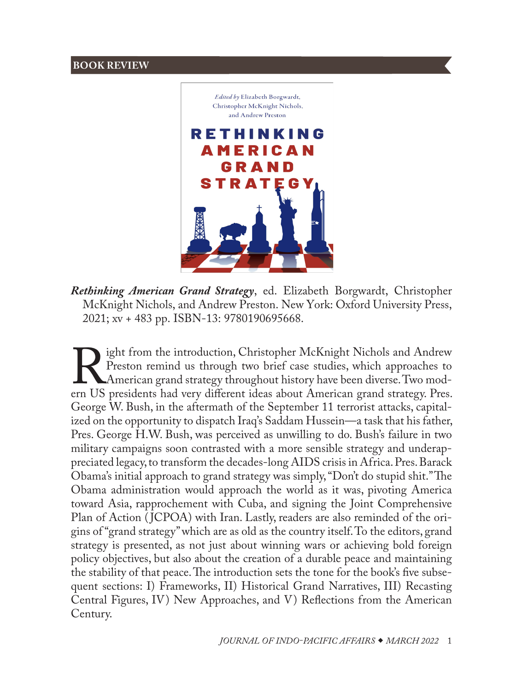## **BOOK REVIEW**



*Rethinking American Grand Strategy*, ed. Elizabeth Borgwardt, Christopher McKnight Nichols, and Andrew Preston. New York: Oxford University Press, 2021; xv + 483 pp. ISBN-13: 9780190695668.

Fight from the introduction, Christopher McKnight Nichols and Andrew Preston remind us through two brief case studies, which approaches to American grand strategy throughout history have been diverse. Two modern US preside Preston remind us through two brief case studies, which approaches to American grand strategy throughout history have been diverse. Two mod-George W. Bush, in the aftermath of the September 11 terrorist attacks, capitalized on the opportunity to dispatch Iraq's Saddam Hussein—a task that his father, Pres. George H.W. Bush, was perceived as unwilling to do. Bush's failure in two military campaigns soon contrasted with a more sensible strategy and underappreciated legacy, to transform the decades-long AIDS crisis in Africa. Pres. Barack Obama's initial approach to grand strategy was simply, "Don't do stupid shit." The Obama administration would approach the world as it was, pivoting America toward Asia, rapprochement with Cuba, and signing the Joint Comprehensive Plan of Action (JCPOA) with Iran. Lastly, readers are also reminded of the origins of "grand strategy" which are as old as the country itself. To the editors, grand strategy is presented, as not just about winning wars or achieving bold foreign policy objectives, but also about the creation of a durable peace and maintaining the stability of that peace. The introduction sets the tone for the book's five subsequent sections: I) Frameworks, II) Historical Grand Narratives, III) Recasting Central Figures, IV) New Approaches, and V) Reflections from the American Century.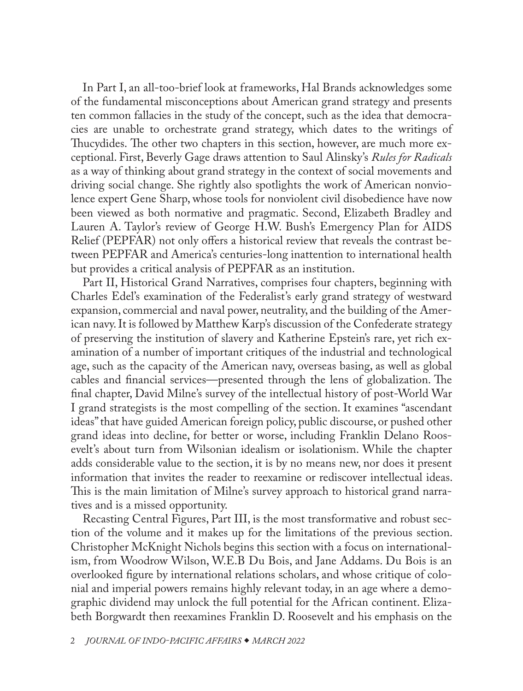In Part I, an all-too-brief look at frameworks, Hal Brands acknowledges some of the fundamental misconceptions about American grand strategy and presents ten common fallacies in the study of the concept, such as the idea that democracies are unable to orchestrate grand strategy, which dates to the writings of Thucydides. The other two chapters in this section, however, are much more exceptional. First, Beverly Gage draws attention to Saul Alinsky's *Rules for Radicals* as a way of thinking about grand strategy in the context of social movements and driving social change. She rightly also spotlights the work of American nonviolence expert Gene Sharp, whose tools for nonviolent civil disobedience have now been viewed as both normative and pragmatic. Second, Elizabeth Bradley and Lauren A. Taylor's review of George H.W. Bush's Emergency Plan for AIDS Relief (PEPFAR) not only offers a historical review that reveals the contrast between PEPFAR and America's centuries-long inattention to international health but provides a critical analysis of PEPFAR as an institution.

Part II, Historical Grand Narratives, comprises four chapters, beginning with Charles Edel's examination of the Federalist's early grand strategy of westward expansion, commercial and naval power, neutrality, and the building of the American navy. It is followed by Matthew Karp's discussion of the Confederate strategy of preserving the institution of slavery and Katherine Epstein's rare, yet rich examination of a number of important critiques of the industrial and technological age, such as the capacity of the American navy, overseas basing, as well as global cables and financial services—presented through the lens of globalization. The final chapter, David Milne's survey of the intellectual history of post-World War I grand strategists is the most compelling of the section. It examines "ascendant ideas" that have guided American foreign policy, public discourse, or pushed other grand ideas into decline, for better or worse, including Franklin Delano Roosevelt's about turn from Wilsonian idealism or isolationism. While the chapter adds considerable value to the section, it is by no means new, nor does it present information that invites the reader to reexamine or rediscover intellectual ideas. This is the main limitation of Milne's survey approach to historical grand narratives and is a missed opportunity.

Recasting Central Figures, Part III, is the most transformative and robust section of the volume and it makes up for the limitations of the previous section. Christopher McKnight Nichols begins this section with a focus on internationalism, from Woodrow Wilson, W.E.B Du Bois, and Jane Addams. Du Bois is an overlooked figure by international relations scholars, and whose critique of colonial and imperial powers remains highly relevant today, in an age where a demographic dividend may unlock the full potential for the African continent. Elizabeth Borgwardt then reexamines Franklin D. Roosevelt and his emphasis on the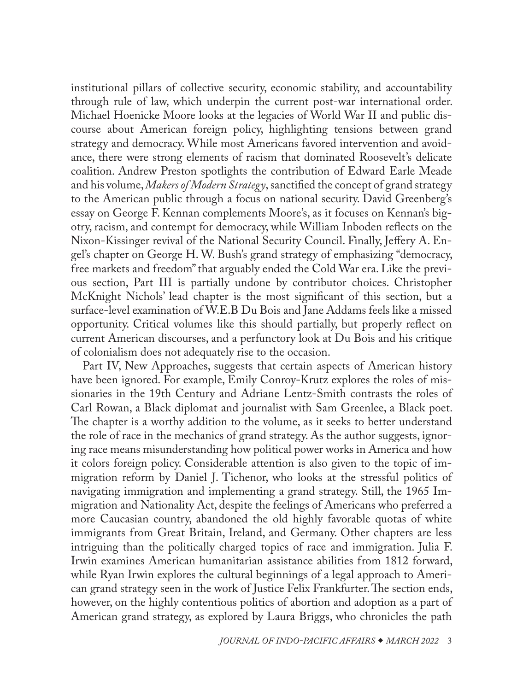institutional pillars of collective security, economic stability, and accountability through rule of law, which underpin the current post-war international order. Michael Hoenicke Moore looks at the legacies of World War II and public discourse about American foreign policy, highlighting tensions between grand strategy and democracy. While most Americans favored intervention and avoidance, there were strong elements of racism that dominated Roosevelt's delicate coalition. Andrew Preston spotlights the contribution of Edward Earle Meade and his volume, *Makers of Modern Strategy*, sanctified the concept of grand strategy to the American public through a focus on national security. David Greenberg's essay on George F. Kennan complements Moore's, as it focuses on Kennan's bigotry, racism, and contempt for democracy, while William Inboden reflects on the Nixon-Kissinger revival of the National Security Council. Finally, Jeffery A. Engel's chapter on George H. W. Bush's grand strategy of emphasizing "democracy, free markets and freedom" that arguably ended the Cold War era. Like the previous section, Part III is partially undone by contributor choices. Christopher McKnight Nichols' lead chapter is the most significant of this section, but a surface-level examination of W.E.B Du Bois and Jane Addams feels like a missed opportunity. Critical volumes like this should partially, but properly reflect on current American discourses, and a perfunctory look at Du Bois and his critique of colonialism does not adequately rise to the occasion.

Part IV, New Approaches, suggests that certain aspects of American history have been ignored. For example, Emily Conroy-Krutz explores the roles of missionaries in the 19th Century and Adriane Lentz-Smith contrasts the roles of Carl Rowan, a Black diplomat and journalist with Sam Greenlee, a Black poet. The chapter is a worthy addition to the volume, as it seeks to better understand the role of race in the mechanics of grand strategy. As the author suggests, ignoring race means misunderstanding how political power works in America and how it colors foreign policy. Considerable attention is also given to the topic of immigration reform by Daniel J. Tichenor, who looks at the stressful politics of navigating immigration and implementing a grand strategy. Still, the 1965 Immigration and Nationality Act, despite the feelings of Americans who preferred a more Caucasian country, abandoned the old highly favorable quotas of white immigrants from Great Britain, Ireland, and Germany. Other chapters are less intriguing than the politically charged topics of race and immigration. Julia F. Irwin examines American humanitarian assistance abilities from 1812 forward, while Ryan Irwin explores the cultural beginnings of a legal approach to American grand strategy seen in the work of Justice Felix Frankfurter. The section ends, however, on the highly contentious politics of abortion and adoption as a part of American grand strategy, as explored by Laura Briggs, who chronicles the path